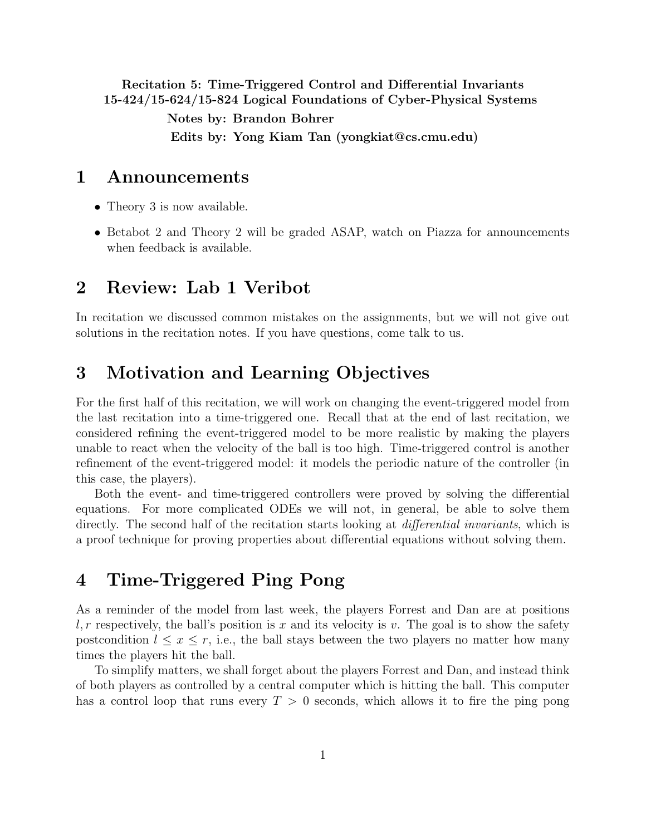<span id="page-0-0"></span>Recitation 5: Time-Triggered Control and Differential Invariants 15-424/15-624/15-824 Logical Foundations of Cyber-Physical Systems

> Notes by: Brandon Bohrer Edits by: Yong Kiam Tan (yongkiat@cs.cmu.edu)

# 1 Announcements

- Theory 3 is now available.
- Betabot 2 and Theory 2 will be graded ASAP, watch on Piazza for announcements when feedback is available.

# 2 Review: Lab 1 Veribot

In recitation we discussed common mistakes on the assignments, but we will not give out solutions in the recitation notes. If you have questions, come talk to us.

# 3 Motivation and Learning Objectives

For the first half of this recitation, we will work on changing the event-triggered model from the last recitation into a time-triggered one. Recall that at the end of last recitation, we considered refining the event-triggered model to be more realistic by making the players unable to react when the velocity of the ball is too high. Time-triggered control is another refinement of the event-triggered model: it models the periodic nature of the controller (in this case, the players).

Both the event- and time-triggered controllers were proved by solving the differential equations. For more complicated ODEs we will not, in general, be able to solve them directly. The second half of the recitation starts looking at *differential invariants*, which is a proof technique for proving properties about differential equations without solving them.

# 4 Time-Triggered Ping Pong

As a reminder of the model from last week, the players Forrest and Dan are at positions  $l, r$  respectively, the ball's position is x and its velocity is v. The goal is to show the safety postcondition  $l \leq x \leq r$ , i.e., the ball stays between the two players no matter how many times the players hit the ball.

To simplify matters, we shall forget about the players Forrest and Dan, and instead think of both players as controlled by a central computer which is hitting the ball. This computer has a control loop that runs every  $T > 0$  seconds, which allows it to fire the ping pong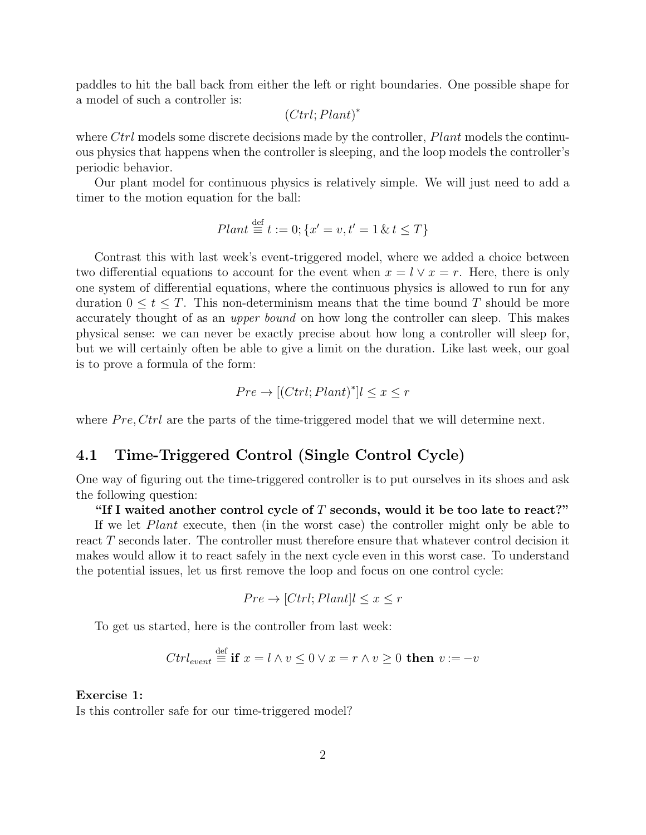paddles to hit the ball back from either the left or right boundaries. One possible shape for a model of such a controller is:

$$
(Ctrl; Plant)^*
$$

where  $Ctrl$  models some discrete decisions made by the controller,  $Plant$  models the continuous physics that happens when the controller is sleeping, and the loop models the controller's periodic behavior.

Our plant model for continuous physics is relatively simple. We will just need to add a timer to the motion equation for the ball:

$$
Plant \stackrel{\text{def}}{=} t := 0; \{x' = v, t' = 1 \& t \leq T\}
$$

Contrast this with last week's event-triggered model, where we added a choice between two differential equations to account for the event when  $x = l \vee x = r$ . Here, there is only one system of differential equations, where the continuous physics is allowed to run for any duration  $0 \leq t \leq T$ . This non-determinism means that the time bound T should be more accurately thought of as an upper bound on how long the controller can sleep. This makes physical sense: we can never be exactly precise about how long a controller will sleep for, but we will certainly often be able to give a limit on the duration. Like last week, our goal is to prove a formula of the form:

$$
Pre \to [(Ctrl; Plant)^*] l \le x \le r
$$

where  $Pre, Ctrl$  are the parts of the time-triggered model that we will determine next.

## 4.1 Time-Triggered Control (Single Control Cycle)

One way of figuring out the time-triggered controller is to put ourselves in its shoes and ask the following question:

### "If I waited another control cycle of  $T$  seconds, would it be too late to react?"

If we let Plant execute, then (in the worst case) the controller might only be able to react T seconds later. The controller must therefore ensure that whatever control decision it makes would allow it to react safely in the next cycle even in this worst case. To understand the potential issues, let us first remove the loop and focus on one control cycle:

$$
Pre \to [Ctrl; Plant] l \le x \le r
$$

To get us started, here is the controller from last week:

$$
Ctrl_{event} \stackrel{\text{def}}{=} \text{if } x = l \land v \leq 0 \lor x = r \land v \geq 0 \text{ then } v := -v
$$

### Exercise 1:

Is this controller safe for our time-triggered model?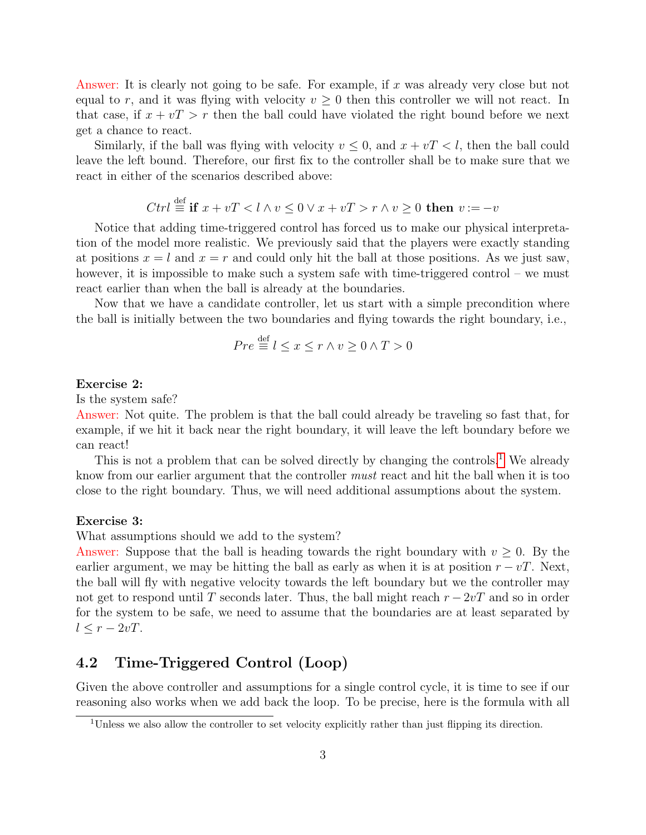Answer: It is clearly not going to be safe. For example, if x was already very close but not equal to r, and it was flying with velocity  $v \geq 0$  then this controller we will not react. In that case, if  $x + vT > r$  then the ball could have violated the right bound before we next get a chance to react.

Similarly, if the ball was flying with velocity  $v \leq 0$ , and  $x + vT < l$ , then the ball could leave the left bound. Therefore, our first fix to the controller shall be to make sure that we react in either of the scenarios described above:

$$
Ctrl \stackrel{\text{def}}{=} \text{if } x + vT < l \land v \leq 0 \lor x + vT > r \land v \geq 0 \text{ then } v := -v
$$

Notice that adding time-triggered control has forced us to make our physical interpretation of the model more realistic. We previously said that the players were exactly standing at positions  $x = l$  and  $x = r$  and could only hit the ball at those positions. As we just saw, however, it is impossible to make such a system safe with time-triggered control – we must react earlier than when the ball is already at the boundaries.

Now that we have a candidate controller, let us start with a simple precondition where the ball is initially between the two boundaries and flying towards the right boundary, i.e.,

$$
Pre \stackrel{\text{def}}{=} l \le x \le r \land v \ge 0 \land T > 0
$$

#### Exercise 2:

Is the system safe?

Answer: Not quite. The problem is that the ball could already be traveling so fast that, for example, if we hit it back near the right boundary, it will leave the left boundary before we can react!

This is not a problem that can be solved directly by changing the controls.<sup>[1](#page-2-0)</sup> We already know from our earlier argument that the controller must react and hit the ball when it is too close to the right boundary. Thus, we will need additional assumptions about the system.

#### Exercise 3:

What assumptions should we add to the system?

Answer: Suppose that the ball is heading towards the right boundary with  $v \geq 0$ . By the earlier argument, we may be hitting the ball as early as when it is at position  $r - vT$ . Next, the ball will fly with negative velocity towards the left boundary but we the controller may not get to respond until T seconds later. Thus, the ball might reach  $r - 2vT$  and so in order for the system to be safe, we need to assume that the boundaries are at least separated by  $l \leq r - 2vT$ .

## 4.2 Time-Triggered Control (Loop)

Given the above controller and assumptions for a single control cycle, it is time to see if our reasoning also works when we add back the loop. To be precise, here is the formula with all

<span id="page-2-0"></span><sup>&</sup>lt;sup>1</sup>Unless we also allow the controller to set velocity explicitly rather than just flipping its direction.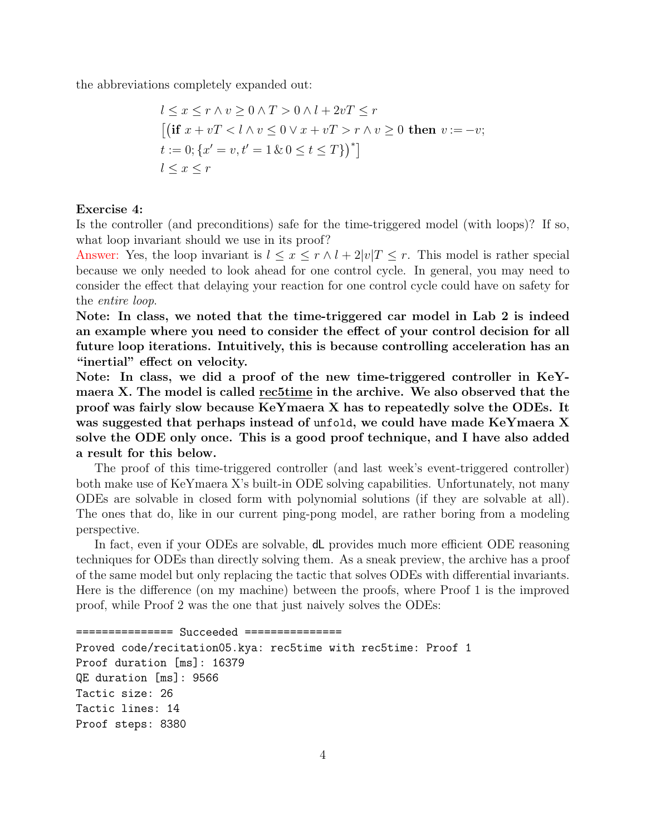the abbreviations completely expanded out:

$$
l \leq x \leq r \land v \geq 0 \land T > 0 \land l + 2vT \leq r
$$
  
\n
$$
[(\text{if } x + vT < l \land v \leq 0 \lor x + vT > r \land v \geq 0 \text{ then } v := -v; t := 0; \{x' = v, t' = 1 \& 0 \leq t \leq T\})^*]
$$
  
\n
$$
l \leq x \leq r
$$

### Exercise 4:

Is the controller (and preconditions) safe for the time-triggered model (with loops)? If so, what loop invariant should we use in its proof?

Answer: Yes, the loop invariant is  $l \leq x \leq r \wedge l + 2|v|$   $T \leq r$ . This model is rather special because we only needed to look ahead for one control cycle. In general, you may need to consider the effect that delaying your reaction for one control cycle could have on safety for the entire loop.

Note: In class, we noted that the time-triggered car model in Lab 2 is indeed an example where you need to consider the effect of your control decision for all future loop iterations. Intuitively, this is because controlling acceleration has an "inertial" effect on velocity.

Note: In class, we did a proof of the new time-triggered controller in KeYmaera X. The model is called rec5time in the archive. We also observed that the proof was fairly slow because KeYmaera X has to repeatedly solve the ODEs. It was suggested that perhaps instead of unfold, we could have made KeYmaera X solve the ODE only once. This is a good proof technique, and I have also added a result for this below.

The proof of this time-triggered controller (and last week's event-triggered controller) both make use of KeYmaera X's built-in ODE solving capabilities. Unfortunately, not many ODEs are solvable in closed form with polynomial solutions (if they are solvable at all). The ones that do, like in our current ping-pong model, are rather boring from a modeling perspective.

In fact, even if your ODEs are solvable, dL provides much more efficient ODE reasoning techniques for ODEs than directly solving them. As a sneak preview, the archive has a proof of the same model but only replacing the tactic that solves ODEs with differential invariants. Here is the difference (on my machine) between the proofs, where Proof 1 is the improved proof, while Proof 2 was the one that just naively solves the ODEs:

```
=============== Succeeded ===============
Proved code/recitation05.kya: rec5time with rec5time: Proof 1
Proof duration [ms]: 16379
QE duration [ms]: 9566
Tactic size: 26
Tactic lines: 14
Proof steps: 8380
```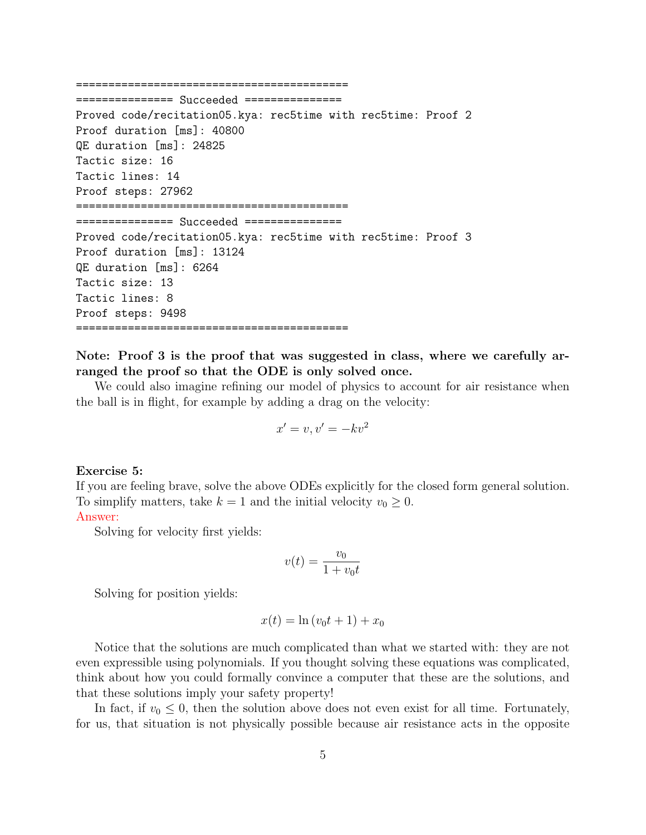==========================================

=============== Succeeded =============== Proved code/recitation05.kya: rec5time with rec5time: Proof 2 Proof duration [ms]: 40800 QE duration [ms]: 24825 Tactic size: 16 Tactic lines: 14 Proof steps: 27962 ========================================== =============== Succeeded =============== Proved code/recitation05.kya: rec5time with rec5time: Proof 3 Proof duration [ms]: 13124 QE duration [ms]: 6264 Tactic size: 13 Tactic lines: 8 Proof steps: 9498 ==========================================

Note: Proof 3 is the proof that was suggested in class, where we carefully arranged the proof so that the ODE is only solved once.

We could also imagine refining our model of physics to account for air resistance when the ball is in flight, for example by adding a drag on the velocity:

$$
x' = v, v' = -kv^2
$$

#### Exercise 5:

If you are feeling brave, solve the above ODEs explicitly for the closed form general solution. To simplify matters, take  $k = 1$  and the initial velocity  $v_0 \geq 0$ .

### Answer:

Solving for velocity first yields:

$$
v(t) = \frac{v_0}{1 + v_0 t}
$$

Solving for position yields:

$$
x(t) = \ln(v_0t + 1) + x_0
$$

Notice that the solutions are much complicated than what we started with: they are not even expressible using polynomials. If you thought solving these equations was complicated, think about how you could formally convince a computer that these are the solutions, and that these solutions imply your safety property!

In fact, if  $v_0 \leq 0$ , then the solution above does not even exist for all time. Fortunately, for us, that situation is not physically possible because air resistance acts in the opposite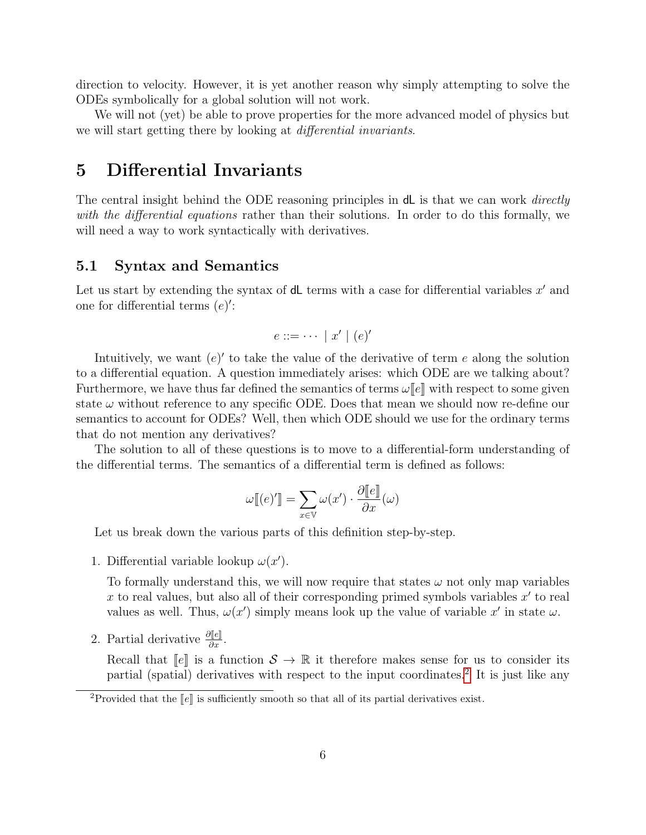direction to velocity. However, it is yet another reason why simply attempting to solve the ODEs symbolically for a global solution will not work.

We will not (yet) be able to prove properties for the more advanced model of physics but we will start getting there by looking at *differential invariants*.

# 5 Differential Invariants

The central insight behind the ODE reasoning principles in dL is that we can work *directly* with the differential equations rather than their solutions. In order to do this formally, we will need a way to work syntactically with derivatives.

## 5.1 Syntax and Semantics

Let us start by extending the syntax of  $dL$  terms with a case for differential variables  $x'$  and one for differential terms  $(e)$ :

$$
e ::= \cdots | x' | (e)'
$$

Intuitively, we want  $(e)'$  to take the value of the derivative of term e along the solution to a differential equation. A question immediately arises: which ODE are we talking about? Furthermore, we have thus far defined the semantics of terms  $\omega[[e]]$  with respect to some given state  $\omega$  without reference to any specific ODE. Does that mean we should now re-define our semantics to account for ODEs? Well, then which ODE should we use for the ordinary terms that do not mention any derivatives?

The solution to all of these questions is to move to a differential-form understanding of the differential terms. The semantics of a differential term is defined as follows:

$$
\omega[[(e)']]=\sum_{x\in\mathbb{V}}\omega(x')\cdot\frac{\partial[[e]]}{\partial x}(\omega)
$$

Let us break down the various parts of this definition step-by-step.

1. Differential variable lookup  $\omega(x')$ .

To formally understand this, we will now require that states  $\omega$  not only map variables x to real values, but also all of their corresponding primed symbols variables  $x'$  to real values as well. Thus,  $\omega(x')$  simply means look up the value of variable x' in state  $\omega$ .

2. Partial derivative  $\frac{\partial [e]}{\partial x}$ .

Recall that  $\llbracket e \rrbracket$  is a function  $S \to \mathbb{R}$  it therefore makes sense for us to consider its partial (spatial) derivatives with respect to the input coordinates.<sup>[2](#page-5-0)</sup> It is just like any

<span id="page-5-0"></span><sup>&</sup>lt;sup>2</sup>Provided that the  $\llbracket e \rrbracket$  is sufficiently smooth so that all of its partial derivatives exist.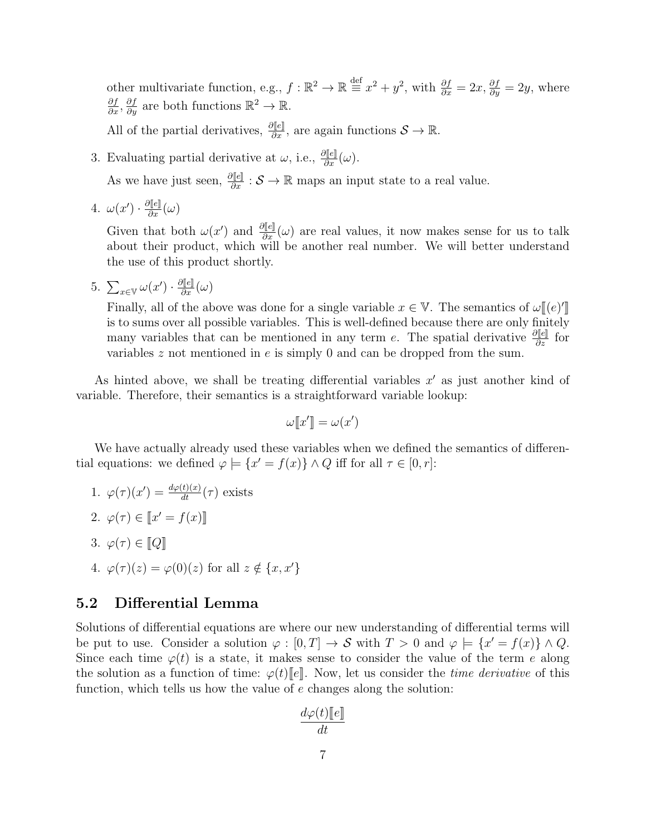other multivariate function, e.g.,  $f : \mathbb{R}^2 \to \mathbb{R} \stackrel{\text{def}}{=} x^2 + y^2$ , with  $\frac{\partial f}{\partial x} = 2x, \frac{\partial f}{\partial y} = 2y$ , where  $\frac{\partial f}{\partial x}, \frac{\partial f}{\partial y}$  are both functions  $\mathbb{R}^2 \to \mathbb{R}$ .

All of the partial derivatives,  $\frac{\partial [\![\epsilon]\!]}{\partial x}$ , are again functions  $\mathcal{S} \to \mathbb{R}$ .

- 3. Evaluating partial derivative at  $\omega$ , i.e.,  $\frac{\partial [\![e]\!]}{\partial x}(\omega)$ . As we have just seen,  $\frac{\partial [\ell]}{\partial x} : \mathcal{S} \to \mathbb{R}$  maps an input state to a real value.
- 4.  $\omega(x') \cdot \frac{\partial [e]}{\partial x}(\omega)$

Given that both  $\omega(x')$  and  $\frac{\partial [e]}{\partial x}(\omega)$  are real values, it now makes sense for us to talk about their product, which will be another real number. We will better understand the use of this product shortly.

5.  $\sum_{x \in \mathbb{V}} \omega(x') \cdot \frac{\partial [e]}{\partial x}(\omega)$ 

Finally, all of the above was done for a single variable  $x \in V$ . The semantics of  $\omega[[(e)']$ <br>is to sume over all possible variables. This is well defined because there are only finitely If the sums over all possible variables. This is well-defined because there are only finitely many variables that can be mentioned in any term e. The spatial derivative  $\frac{\partial [\![e]\!]}{\partial z}$  for variables z not mentioned in e is simply 0 and can be dropped from the sum.

As hinted above, we shall be treating differential variables  $x'$  as just another kind of variable. Therefore, their semantics is a straightforward variable lookup:

$$
\omega[\llbracket x'\rrbracket = \omega(x')
$$

We have actually already used these variables when we defined the semantics of differential equations: we defined  $\varphi \models \{x' = f(x)\}\land Q$  iff for all  $\tau \in [0, r]$ :

- 1.  $\varphi(\tau)(x') = \frac{d\varphi(t)(x)}{dt}(\tau)$  exists
- 2.  $\varphi(\tau) \in [x' = f(x)]$
- 3.  $\varphi(\tau) \in \llbracket Q \rrbracket$
- 4.  $\varphi(\tau)(z) = \varphi(0)(z)$  for all  $z \notin \{x, x'\}$

## 5.2 Differential Lemma

Solutions of differential equations are where our new understanding of differential terms will be put to use. Consider a solution  $\varphi : [0, T] \to S$  with  $T > 0$  and  $\varphi \models \{x' = f(x)\} \land Q$ . Since each time  $\varphi(t)$  is a state, it makes sense to consider the value of the term e along the solution as a function of time:  $\varphi(t)[e]$ . Now, let us consider the *time derivative* of this function, which tells us how the value of e changes along the solution:

$$
\frac{d\varphi(t)[\![e]\!]}{dt}
$$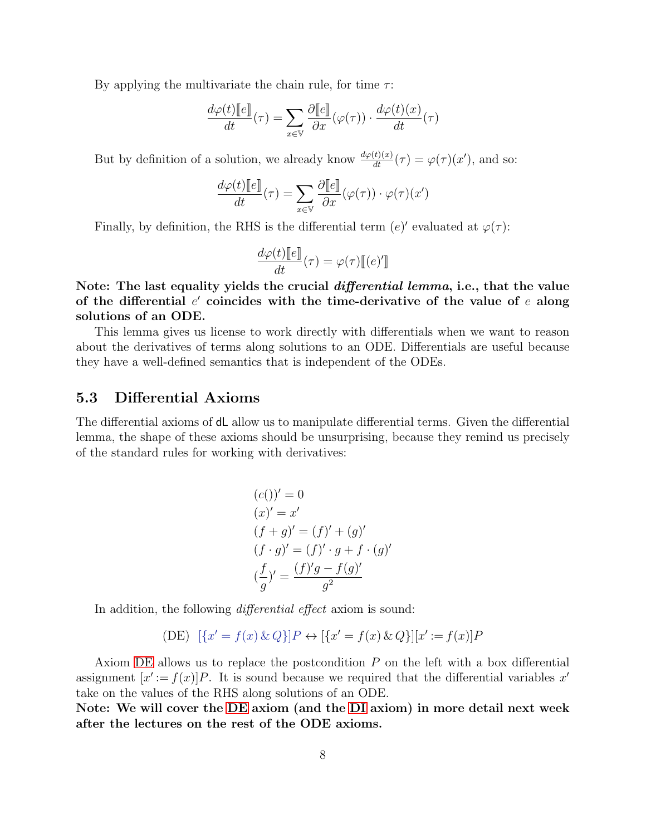By applying the multivariate the chain rule, for time  $\tau$ :

$$
\frac{d\varphi(t)[\![e]\!]}{dt}(\tau) = \sum_{x \in \mathbb{V}} \frac{\partial [\![e]\!]}{\partial x}(\varphi(\tau)) \cdot \frac{d\varphi(t)(x)}{dt}(\tau)
$$

But by definition of a solution, we already know  $\frac{d\varphi(t)(x)}{dt}(\tau) = \varphi(\tau)(x')$ , and so:

$$
\frac{d\varphi(t)[\![e]\!]}{dt}(\tau) = \sum_{x \in \mathbb{V}} \frac{\partial [\![e]\!]}{\partial x}(\varphi(\tau)) \cdot \varphi(\tau)(x')
$$

Finally, by definition, the RHS is the differential term  $(e)'$  evaluated at  $\varphi(\tau)$ :

$$
\frac{d\varphi(t)[[e]]}{dt}(\tau) = \varphi(\tau)[[e']]
$$

Note: The last equality yields the crucial *differential lemma*, i.e., that the value of the differential  $e'$  coincides with the time-derivative of the value of  $e$  along solutions of an ODE.

This lemma gives us license to work directly with differentials when we want to reason about the derivatives of terms along solutions to an ODE. Differentials are useful because they have a well-defined semantics that is independent of the ODEs.

## 5.3 Differential Axioms

The differential axioms of dL allow us to manipulate differential terms. Given the differential lemma, the shape of these axioms should be unsurprising, because they remind us precisely of the standard rules for working with derivatives:

$$
(c())' = 0
$$
  
\n
$$
(x)' = x'
$$
  
\n
$$
(f+g)' = (f)' + (g)'
$$
  
\n
$$
(f \cdot g)' = (f)' \cdot g + f \cdot (g)'
$$
  
\n
$$
(\frac{f}{g})' = \frac{(f)'g - f(g)'}{g^2}
$$

In addition, the following *differential effect* axiom is sound:

$$
(DE) \ \ [\{x' = f(x) \& Q\}]P \leftrightarrow \{x' = f(x) \& Q\}][x' := f(x)]P
$$

Axiom [DE](#page-0-0) allows us to replace the postcondition  $P$  on the left with a box differential assignment  $[x' := f(x)]P$ . It is sound because we required that the differential variables x' take on the values of the RHS along solutions of an ODE.

Note: We will cover the [DE](#page-0-0) axiom (and the [DI](#page-0-0) axiom) in more detail next week after the lectures on the rest of the ODE axioms.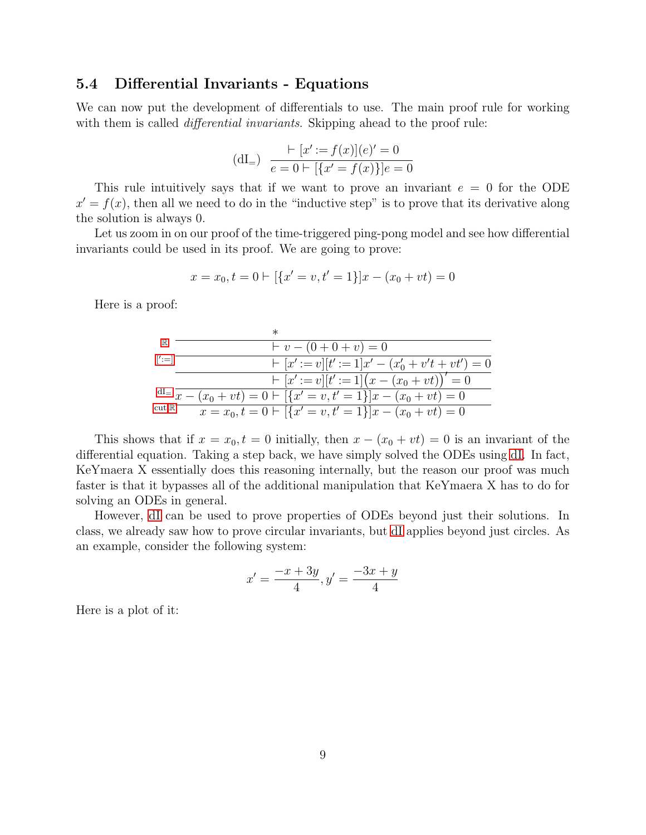## 5.4 Differential Invariants - Equations

We can now put the development of differentials to use. The main proof rule for working with them is called *differential invariants*. Skipping ahead to the proof rule:

<span id="page-8-0"></span>
$$
(\text{dI}_{=}) \quad \frac{\vdash [x':=f(x)](e)'=0}{e=0 \vdash [\{x'=f(x)\}]e=0}
$$

This rule intuitively says that if we want to prove an invariant  $e = 0$  for the ODE  $x' = f(x)$ , then all we need to do in the "inductive step" is to prove that its derivative along the solution is always 0.

Let us zoom in on our proof of the time-triggered ping-pong model and see how differential invariants could be used in its proof. We are going to prove:

$$
x = x_0, t = 0 \vdash [\{x' = v, t' = 1\}]x - (x_0 + vt) = 0
$$

Here is a proof:

| $\mathbb{R}$                      | $v - (0 + 0 + v) = 0$                                                              |
|-----------------------------------|------------------------------------------------------------------------------------|
| $\left[\right]' := \left[\right]$ | $\vdash [x':=v][t':=1]x'-(x'_{0}+v't+vt')=0$                                       |
|                                   | $\vdash [x':=v][t':=1](x-(x_0+vt))'=0$                                             |
|                                   | $dI = \overline{x - (x_0 + vt)} = 0 \vdash [\{x' = v, t' = 1\}]x - (x_0 + vt) = 0$ |
| $cut, \mathbb{R}^-$               | $x = x_0, t = 0 \vdash [\{x' = v, t' = 1\}]x - (x_0 + vt) = 0$                     |

This shows that if  $x = x_0, t = 0$  initially, then  $x - (x_0 + vt) = 0$  is an invariant of the differential equation. Taking a step back, we have simply solved the ODEs using [dI.](#page-0-0) In fact, KeYmaera X essentially does this reasoning internally, but the reason our proof was much faster is that it bypasses all of the additional manipulation that KeYmaera X has to do for solving an ODEs in general.

However, [dI](#page-0-0) can be used to prove properties of ODEs beyond just their solutions. In class, we already saw how to prove circular invariants, but [dI](#page-0-0) applies beyond just circles. As an example, consider the following system:

$$
x' = \frac{-x + 3y}{4}, y' = \frac{-3x + y}{4}
$$

Here is a plot of it: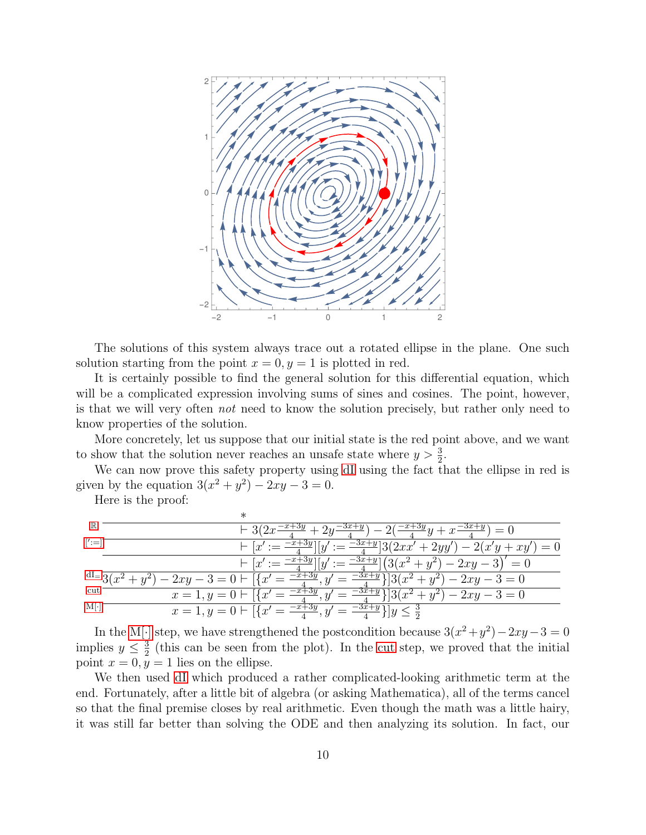

The solutions of this system always trace out a rotated ellipse in the plane. One such solution starting from the point  $x = 0, y = 1$  is plotted in red.

It is certainly possible to find the general solution for this differential equation, which will be a complicated expression involving sums of sines and cosines. The point, however, is that we will very often not need to know the solution precisely, but rather only need to know properties of the solution.

More concretely, let us suppose that our initial state is the red point above, and we want to show that the solution never reaches an unsafe state where  $y > \frac{3}{2}$ .

We can now prove this safety property using [dI](#page-0-0) using the fact that the ellipse in red is given by the equation  $3(x^2 + y^2) - 2xy - 3 = 0$ .

Here is the proof:

|                     | $-2\left(\frac{-x+3y}{4}y+x\frac{-3x+y}{4}\right)=0$<br>$+3(2x^{-})$                                                                                         |
|---------------------|--------------------------------------------------------------------------------------------------------------------------------------------------------------|
| $\left  \right  :=$ | $\mathcal{L} := \frac{-3x+y}{4} [3(2xx'+2yy') - 2(x'y + xy')] = 0$<br>$\frac{-3y}{y} _{\eta}$<br>$\vdash [x'] := \frac{-x+}{2}$                              |
|                     | $\left  - \left[ x' := \frac{-x+3y}{4} \right] \right  y' := \frac{-3x+y}{4} \left[ \left( 3(x^2+y^2) - 2xy - 3 \right)' = 0 \right]$                        |
|                     | $dI = \frac{3(x^2 + y^2) - 2xy - 3 = 0 \mid \left[\left\{x'\right. = \frac{-x + 3y}{4}, y'\right\}$<br>$\frac{-3x+y}{4}$ ] $3(x^2+y^2) - 2xy - 3 = 0$<br>$=$ |
| cut                 | $x = 1, y = 0 \vdash \lceil \{x' = \frac{-x+3y}{4}, y' \rceil \}$<br>$\frac{-3x+y}{4}$ ] $3(x^2+y^2) - 2xy - 3 = 0$                                          |
| $M \cdot $          | $x = 1, y = 0 \vdash \left[ \{x' = \frac{-x+3y}{4}, y' \right]$<br>$=\frac{-3x+y}{4}$ ] $y \leq \frac{3}{2}$                                                 |

In the [M\[](#page-0-0)·] step, we have strengthened the postcondition because  $3(x^2 + y^2) - 2xy - 3 = 0$ implies  $y \leq \frac{3}{2}$  $\frac{3}{2}$  (this can be seen from the plot). In the [cut](#page-0-0) step, we proved that the initial point  $x = 0, y = 1$  lies on the ellipse.

We then used [dI](#page-0-0) which produced a rather complicated-looking arithmetic term at the end. Fortunately, after a little bit of algebra (or asking Mathematica), all of the terms cancel so that the final premise closes by real arithmetic. Even though the math was a little hairy, it was still far better than solving the ODE and then analyzing its solution. In fact, our